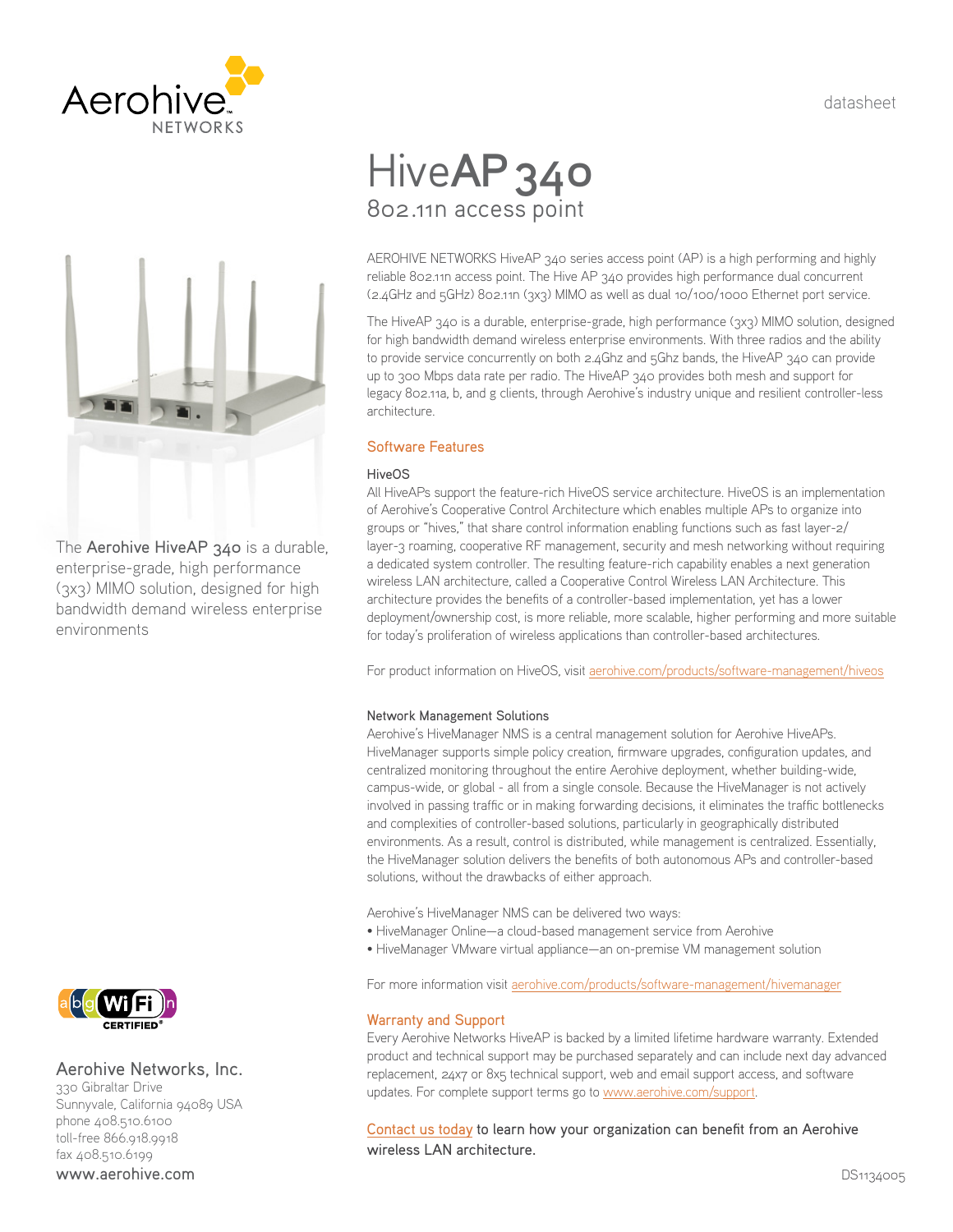datasheet





The Aerohive HiveAP 340 is a durable, enterprise-grade, high performance (3x3) MIMO solution, designed for high bandwidth demand wireless enterprise environments

# Hive**AP 340** 802.11n access point

AEROHIVE NETWORKS HiveAP 340 series access point (AP) is a high performing and highly reliable 802.11n access point. The Hive AP 340 provides high performance dual concurrent (2.4GHz and 5GHz) 802.11n (3x3) MIMO as well as dual 10/100/1000 Ethernet port service.

The HiveAP 340 is a durable, enterprise-grade, high performance (3x3) MIMO solution, designed for high bandwidth demand wireless enterprise environments. With three radios and the ability to provide service concurrently on both 2.4Ghz and 5Ghz bands, the HiveAP 340 can provide up to 300 Mbps data rate per radio. The HiveAP 340 provides both mesh and support for legacy 802.11a, b, and g clients, through Aerohive's industry unique and resilient controller-less architecture.

#### Software Features

#### **HiveOS**

All HiveAPs support the feature-rich HiveOS service architecture. HiveOS is an implementation of Aerohive's Cooperative Control Architecture which enables multiple APs to organize into groups or "hives," that share control information enabling functions such as fast layer-2/ layer-3 roaming, cooperative RF management, security and mesh networking without requiring a dedicated system controller. The resulting feature-rich capability enables a next generation wireless LAN architecture, called a Cooperative Control Wireless LAN Architecture. This architecture provides the benefits of a controller-based implementation, yet has a lower deployment/ownership cost, is more reliable, more scalable, higher performing and more suitable for today's proliferation of wireless applications than controller-based architectures.

For product information on HiveOS, visit [aerohive.com/products/software-management/hiveos](http://www.aerohive.com/products/software-management/hiveos)

#### Network Management Solutions

Aerohive's HiveManager NMS is a central management solution for Aerohive HiveAPs. HiveManager supports simple policy creation, firmware upgrades, configuration updates, and centralized monitoring throughout the entire Aerohive deployment, whether building-wide, campus-wide, or global - all from a single console. Because the HiveManager is not actively involved in passing traffic or in making forwarding decisions, it eliminates the traffic bottlenecks and complexities of controller-based solutions, particularly in geographically distributed environments. As a result, control is distributed, while management is centralized. Essentially, the HiveManager solution delivers the benefits of both autonomous APs and controller-based solutions, without the drawbacks of either approach.

Aerohive's HiveManager NMS can be delivered two ways:

- HiveManager Online—a cloud-based management service from Aerohive
- HiveManager VMware virtual appliance—an on-premise VM management solution

For more information visit [aerohive.com/products/software-management/hivemanager](http://www.aerohive.com/products/software-management/hivemanager)

#### Warranty and Support

Every Aerohive Networks HiveAP is backed by a limited lifetime hardware warranty. Extended product and technical support may be purchased separately and can include next day advanced replacement, 24x7 or 8x5 technical support, web and email support access, and software updates. For complete support terms go to [www.aerohive.com/support](http://www.aerohive.com/support).

[Contact us today](http://www.aerohive.com/contact-us/) to learn how your organization can benefit from an Aerohive wireless LAN architecture.



#### Aerohive Networks, Inc.

330 Gibraltar Drive Sunnyvale, California 94089 USA phone 408.510.6100 toll-free 866.918.9918 fax 408.510.6199 www.aerohive.com